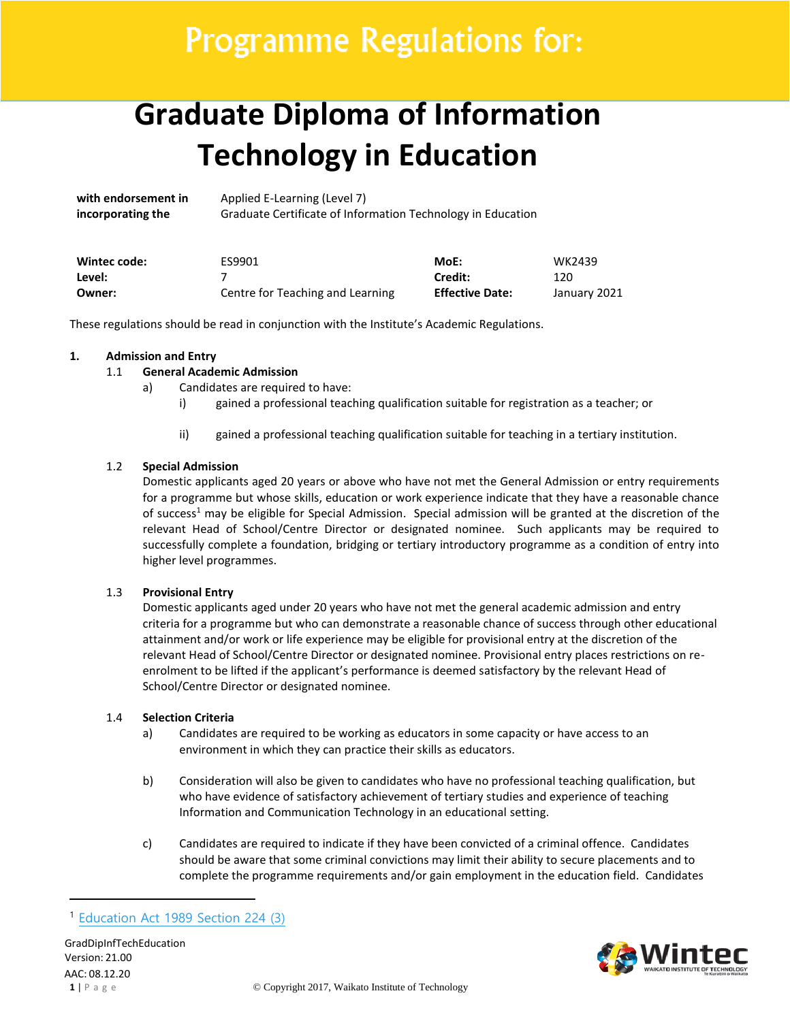# Programme Regulations for:

# **Graduate Diploma of Information Technology in Education**

**with endorsement in** Applied E-Learning (Level 7) **incorporating the** Graduate Certificate of Information Technology in Education

| Wintec code: | ES9901                           | MoE:                   | WK2439       |
|--------------|----------------------------------|------------------------|--------------|
| Level:       |                                  | Credit:                | 120          |
| Owner:       | Centre for Teaching and Learning | <b>Effective Date:</b> | January 2021 |

These regulations should be read in conjunction with the Institute's Academic Regulations.

### **1. Admission and Entry**

### 1.1 **General Academic Admission**

- a) Candidates are required to have:
	- i) gained a professional teaching qualification suitable for registration as a teacher; or
	- ii) gained a professional teaching qualification suitable for teaching in a tertiary institution.

### 1.2 **Special Admission**

Domestic applicants aged 20 years or above who have not met the General Admission or entry requirements for a programme but whose skills, education or work experience indicate that they have a reasonable chance of success<sup>1</sup> may be eligible for Special Admission. Special admission will be granted at the discretion of the relevant Head of School/Centre Director or designated nominee. Such applicants may be required to successfully complete a foundation, bridging or tertiary introductory programme as a condition of entry into higher level programmes.

## 1.3 **Provisional Entry**

Domestic applicants aged under 20 years who have not met the general academic admission and entry criteria for a programme but who can demonstrate a reasonable chance of success through other educational attainment and/or work or life experience may be eligible for provisional entry at the discretion of the relevant Head of School/Centre Director or designated nominee. Provisional entry places restrictions on reenrolment to be lifted if the applicant's performance is deemed satisfactory by the relevant Head of School/Centre Director or designated nominee.

#### 1.4 **Selection Criteria**

- a) Candidates are required to be working as educators in some capacity or have access to an environment in which they can practice their skills as educators.
- b) Consideration will also be given to candidates who have no professional teaching qualification, but who have evidence of satisfactory achievement of tertiary studies and experience of teaching Information and Communication Technology in an educational setting.
- c) Candidates are required to indicate if they have been convicted of a criminal offence. Candidates should be aware that some criminal convictions may limit their ability to secure placements and to complete the programme requirements and/or gain employment in the education field. Candidates



<sup>1</sup> [Education Act 1989 Section 224 \(3\)](http://www.legislation.govt.nz/act/public/2011/0066/latest/DLM3612075.html?search=qs_act%40bill%40regulation%40deemedreg_education+act+1989_resel_25_h&p=1)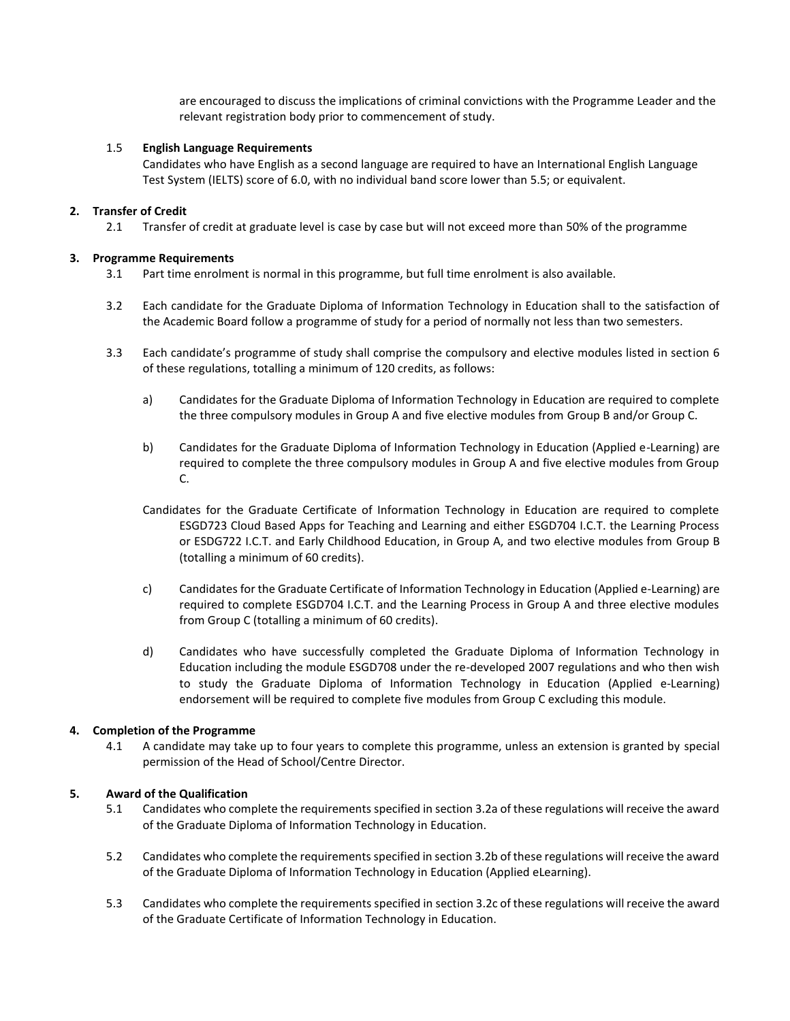are encouraged to discuss the implications of criminal convictions with the Programme Leader and the relevant registration body prior to commencement of study.

### 1.5 **English Language Requirements**

Candidates who have English as a second language are required to have an International English Language Test System (IELTS) score of 6.0, with no individual band score lower than 5.5; or equivalent.

### **2. Transfer of Credit**

2.1 Transfer of credit at graduate level is case by case but will not exceed more than 50% of the programme

### **3. Programme Requirements**

- 3.1 Part time enrolment is normal in this programme, but full time enrolment is also available.
- 3.2 Each candidate for the Graduate Diploma of Information Technology in Education shall to the satisfaction of the Academic Board follow a programme of study for a period of normally not less than two semesters.
- 3.3 Each candidate's programme of study shall comprise the compulsory and elective modules listed in section 6 of these regulations, totalling a minimum of 120 credits, as follows:
	- a) Candidates for the Graduate Diploma of Information Technology in Education are required to complete the three compulsory modules in Group A and five elective modules from Group B and/or Group C.
	- b) Candidates for the Graduate Diploma of Information Technology in Education (Applied e-Learning) are required to complete the three compulsory modules in Group A and five elective modules from Group C.
	- Candidates for the Graduate Certificate of Information Technology in Education are required to complete ESGD723 Cloud Based Apps for Teaching and Learning and either ESGD704 I.C.T. the Learning Process or ESDG722 I.C.T. and Early Childhood Education, in Group A, and two elective modules from Group B (totalling a minimum of 60 credits).
	- c) Candidates for the Graduate Certificate of Information Technology in Education (Applied e-Learning) are required to complete ESGD704 I.C.T. and the Learning Process in Group A and three elective modules from Group C (totalling a minimum of 60 credits).
	- d) Candidates who have successfully completed the Graduate Diploma of Information Technology in Education including the module ESGD708 under the re-developed 2007 regulations and who then wish to study the Graduate Diploma of Information Technology in Education (Applied e-Learning) endorsement will be required to complete five modules from Group C excluding this module.

## **4. Completion of the Programme**

4.1 A candidate may take up to four years to complete this programme, unless an extension is granted by special permission of the Head of School/Centre Director.

## **5. Award of the Qualification**

- 5.1 Candidates who complete the requirements specified in section 3.2a of these regulations will receive the award of the Graduate Diploma of Information Technology in Education.
- 5.2 Candidates who complete the requirements specified in section 3.2b of these regulations will receive the award of the Graduate Diploma of Information Technology in Education (Applied eLearning).
- 5.3 Candidates who complete the requirements specified in section 3.2c of these regulations will receive the award of the Graduate Certificate of Information Technology in Education.